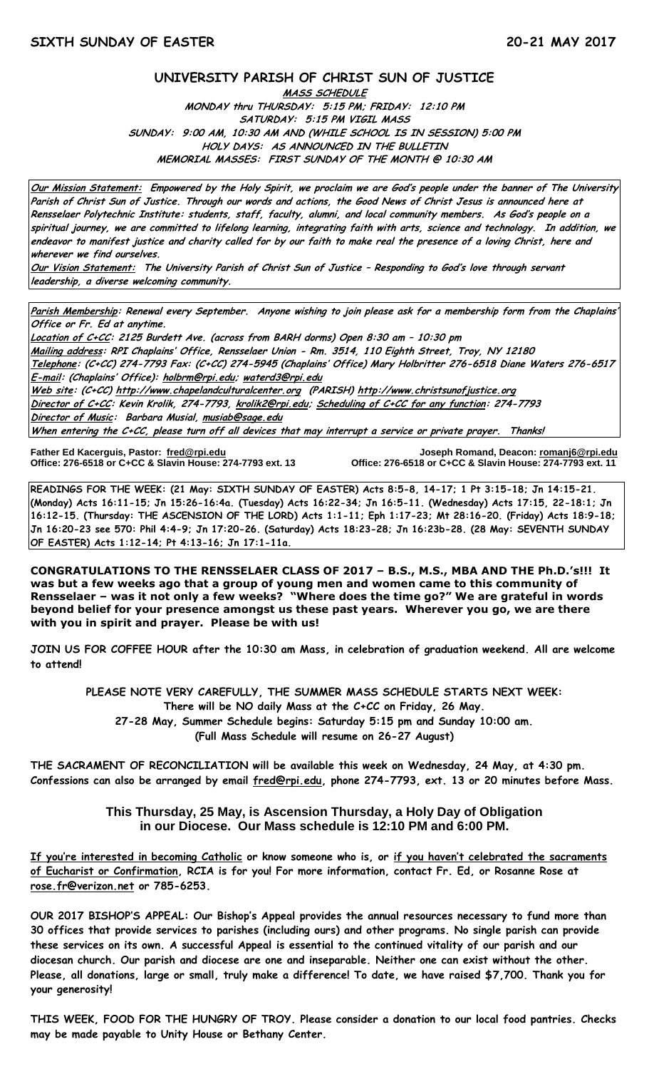#### **UNIVERSITY PARISH OF CHRIST SUN OF JUSTICE**

**MASS SCHEDULE MONDAY thru THURSDAY: 5:15 PM; FRIDAY: 12:10 PM SATURDAY: 5:15 PM VIGIL MASS SUNDAY: 9:00 AM, 10:30 AM AND (WHILE SCHOOL IS IN SESSION) 5:00 PM HOLY DAYS: AS ANNOUNCED IN THE BULLETIN MEMORIAL MASSES: FIRST SUNDAY OF THE MONTH @ 10:30 AM**

**Our Mission Statement: Empowered by the Holy Spirit, we proclaim we are God's people under the banner of The University Parish of Christ Sun of Justice. Through our words and actions, the Good News of Christ Jesus is announced here at Rensselaer Polytechnic Institute: students, staff, faculty, alumni, and local community members. As God's people on a spiritual journey, we are committed to lifelong learning, integrating faith with arts, science and technology. In addition, we endeavor to manifest justice and charity called for by our faith to make real the presence of a loving Christ, here and wherever we find ourselves.**

**Our Vision Statement: The University Parish of Christ Sun of Justice – Responding to God's love through servant leadership, a diverse welcoming community.**

**Parish Membership: Renewal every September. Anyone wishing to join please ask for a membership form from the Chaplains' Office or Fr. Ed at anytime.**

**Location of C+CC: 2125 Burdett Ave. (across from BARH dorms) Open 8:30 am – 10:30 pm Mailing address: RPI Chaplains' Office, Rensselaer Union - Rm. 3514, 110 Eighth Street, Troy, NY 12180 Telephone: (C+CC) 274-7793 Fax: (C+CC) 274-5945 (Chaplains' Office) Mary Holbritter 276-6518 Diane Waters 276-6517 E-mail: (Chaplains' Office): [holbrm@rpi.edu;](mailto:holbrm@rpi.edu) waterd3@rpi.edu Web site: (C+CC[\) http://www.chapelandculturalcenter.org](http://www.chapelandculturalcenter.org/) (PARISH) http://www.christsunofjustice.org Director of C+CC: Kevin Krolik, 274-7793, krolik2@rpi.edu; Scheduling of C+CC for any function: 274-7793 Director of Music: Barbara Musial, [musiab@sage.edu](mailto:musiab@sage.edu)**

**When entering the C+CC, please turn off all devices that may interrupt a service or private prayer. Thanks!** 

Father Ed Kacerguis, Pastor: fred@rpi.edu **Office: 276-6518 or C+CC & Slavin House: 274-7793 ext. 13**  **Father Ed Kacerguis, Pastor: [fred@rpi.edu](mailto:fred@rpi.edu) Joseph Romand, Deacon[: romanj6@rpi.edu](mailto:romanj6@rpi.edu)**

**READINGS FOR THE WEEK: (21 May: SIXTH SUNDAY OF EASTER) Acts 8:5-8, 14-17; 1 Pt 3:15-18; Jn 14:15-21. (Monday) Acts 16:11-15; Jn 15:26-16:4a. (Tuesday) Acts 16:22-34; Jn 16:5-11. (Wednesday) Acts 17:15, 22-18:1; Jn 16:12-15. (Thursday: THE ASCENSION OF THE LORD) Acts 1:1-11; Eph 1:17-23; Mt 28:16-20. (Friday) Acts 18:9-18; Jn 16:20-23 see 570: Phil 4:4-9; Jn 17:20-26. (Saturday) Acts 18:23-28; Jn 16:23b-28. (28 May: SEVENTH SUNDAY OF EASTER) Acts 1:12-14; Pt 4:13-16; Jn 17:1-11a.**

**CONGRATULATIONS TO THE RENSSELAER CLASS OF 2017 – B.S., M.S., MBA AND THE Ph.D.'s!!! It was but a few weeks ago that a group of young men and women came to this community of Rensselaer – was it not only a few weeks? "Where does the time go?" We are grateful in words beyond belief for your presence amongst us these past years. Wherever you go, we are there with you in spirit and prayer. Please be with us!** 

**JOIN US FOR COFFEE HOUR after the 10:30 am Mass, in celebration of graduation weekend. All are welcome to attend!** 

**PLEASE NOTE VERY CAREFULLY, THE SUMMER MASS SCHEDULE STARTS NEXT WEEK: There will be NO daily Mass at the C+CC on Friday, 26 May. 27-28 May, Summer Schedule begins: Saturday 5:15 pm and Sunday 10:00 am. (Full Mass Schedule will resume on 26-27 August)**

**THE SACRAMENT OF RECONCILIATION will be available this week on Wednesday, 24 May, at 4:30 pm. Confessions can also be arranged by email [fred@rpi.edu,](mailto:fred@rpi.edu) phone 274-7793, ext. 13 or 20 minutes before Mass.**

### **This Thursday, 25 May, is Ascension Thursday, a Holy Day of Obligation in our Diocese. Our Mass schedule is 12:10 PM and 6:00 PM.**

**If you're interested in becoming Catholic or know someone who is, or if you haven't celebrated the sacraments of Eucharist or Confirmation, RCIA is for you! For more information, contact Fr. Ed, or Rosanne Rose at [rose.fr@verizon.net](mailto:rose.fr@verizon.net) or 785-6253.**

**OUR 2017 BISHOP'S APPEAL: Our Bishop's Appeal provides the annual resources necessary to fund more than 30 offices that provide services to parishes (including ours) and other programs. No single parish can provide these services on its own. A successful Appeal is essential to the continued vitality of our parish and our diocesan church. Our parish and diocese are one and inseparable. Neither one can exist without the other. Please, all donations, large or small, truly make a difference! To date, we have raised \$7,700. Thank you for your generosity!**

**THIS WEEK, FOOD FOR THE HUNGRY OF TROY. Please consider a donation to our local food pantries. Checks may be made payable to Unity House or Bethany Center.**